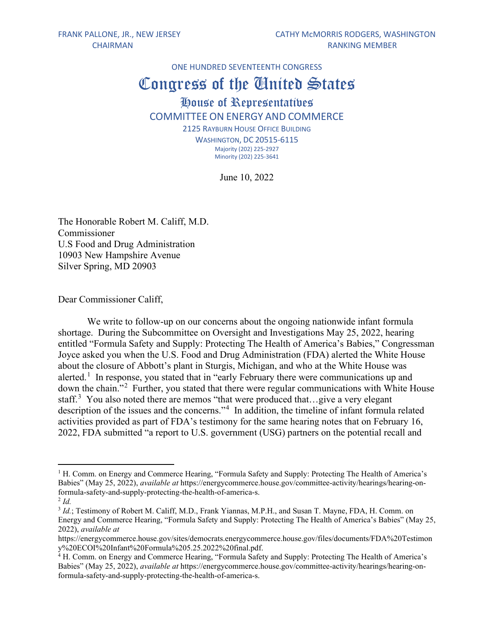ONE HUNDRED SEVENTEENTH CONGRESS

## Congress of the United States

## House of Representatives COMMITTEE ON ENERGY AND COMMERCE

2125 RAYBURN HOUSE OFFICE BUILDING WASHINGTON, DC 20515-6115 Majority (202) 225-2927 Minority (202) 225-3641

June 10, 2022

The Honorable Robert M. Califf, M.D. Commissioner U.S Food and Drug Administration 10903 New Hampshire Avenue Silver Spring, MD 20903

Dear Commissioner Califf,

We write to follow-up on our concerns about the ongoing nationwide infant formula shortage. During the Subcommittee on Oversight and Investigations May 25, 2022, hearing entitled "Formula Safety and Supply: Protecting The Health of America's Babies," Congressman Joyce asked you when the U.S. Food and Drug Administration (FDA) alerted the White House about the closure of Abbott's plant in Sturgis, Michigan, and who at the White House was alerted.<sup>[1](#page-0-0)</sup> In response, you stated that in "early February there were communications up and down the chain."<sup>[2](#page-0-1)</sup> Further, you stated that there were regular communications with White House staff.<sup>[3](#page-0-2)</sup> You also noted there are memos "that were produced that...give a very elegant description of the issues and the concerns."<sup>[4](#page-0-3)</sup> In addition, the timeline of infant formula related activities provided as part of FDA's testimony for the same hearing notes that on February 16, 2022, FDA submitted "a report to U.S. government (USG) partners on the potential recall and

<span id="page-0-0"></span><sup>&</sup>lt;sup>1</sup> H. Comm. on Energy and Commerce Hearing, "Formula Safety and Supply: Protecting The Health of America's Babies" (May 25, 2022), *available at* https://energycommerce.house.gov/committee-activity/hearings/hearing-onformula-safety-and-supply-protecting-the-health-of-america-s.

<span id="page-0-1"></span><sup>2</sup> *Id.*

<span id="page-0-2"></span><sup>&</sup>lt;sup>3</sup> *Id.*; Testimony of Robert M. Califf, M.D., Frank Yiannas, M.P.H., and Susan T. Mayne, FDA, H. Comm. on Energy and Commerce Hearing, "Formula Safety and Supply: Protecting The Health of America's Babies" (May 25, 2022), *available at* 

https://energycommerce.house.gov/sites/democrats.energycommerce.house.gov/files/documents/FDA%20Testimon y%20ECOI%20Infant%20Formula%205.25.2022%20final.pdf.

<span id="page-0-3"></span><sup>&</sup>lt;sup>4</sup> H. Comm. on Energy and Commerce Hearing, "Formula Safety and Supply: Protecting The Health of America's Babies" (May 25, 2022), *available at* https://energycommerce.house.gov/committee-activity/hearings/hearing-onformula-safety-and-supply-protecting-the-health-of-america-s.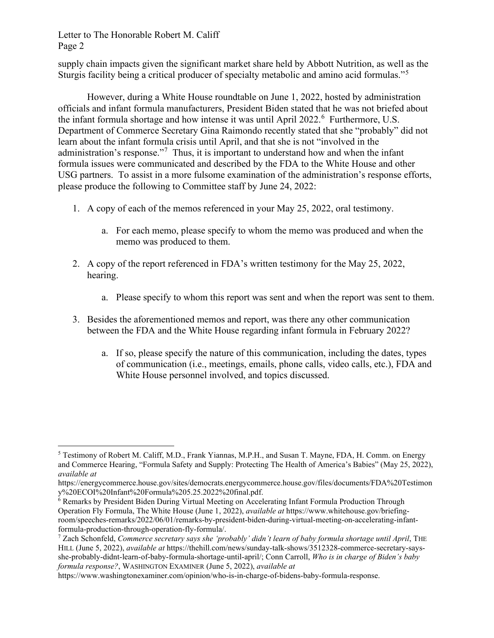## Letter to The Honorable Robert M. Califf Page 2

supply chain impacts given the significant market share held by Abbott Nutrition, as well as the Sturgis facility being a critical producer of specialty metabolic and amino acid formulas."<sup>[5](#page-1-0)</sup>

However, during a White House roundtable on June 1, 2022, hosted by administration officials and infant formula manufacturers, President Biden stated that he was not briefed about the infant formula shortage and how intense it was until April 2022. [6](#page-1-1) Furthermore, U.S. Department of Commerce Secretary Gina Raimondo recently stated that she "probably" did not learn about the infant formula crisis until April, and that she is not "involved in the administration's response."<sup>[7](#page-1-2)</sup> Thus, it is important to understand how and when the infant formula issues were communicated and described by the FDA to the White House and other USG partners. To assist in a more fulsome examination of the administration's response efforts, please produce the following to Committee staff by June 24, 2022:

- 1. A copy of each of the memos referenced in your May 25, 2022, oral testimony.
	- a. For each memo, please specify to whom the memo was produced and when the memo was produced to them.
- 2. A copy of the report referenced in FDA's written testimony for the May 25, 2022, hearing.
	- a. Please specify to whom this report was sent and when the report was sent to them.
- 3. Besides the aforementioned memos and report, was there any other communication between the FDA and the White House regarding infant formula in February 2022?
	- a. If so, please specify the nature of this communication, including the dates, types of communication (i.e., meetings, emails, phone calls, video calls, etc.), FDA and White House personnel involved, and topics discussed.

<span id="page-1-0"></span><sup>5</sup> Testimony of Robert M. Califf, M.D., Frank Yiannas, M.P.H., and Susan T. Mayne, FDA, H. Comm. on Energy and Commerce Hearing, "Formula Safety and Supply: Protecting The Health of America's Babies" (May 25, 2022), *available at* 

https://energycommerce.house.gov/sites/democrats.energycommerce.house.gov/files/documents/FDA%20Testimon y%20ECOI%20Infant%20Formula%205.25.2022%20final.pdf.

<span id="page-1-1"></span><sup>&</sup>lt;sup>6</sup> Remarks by President Biden During Virtual Meeting on Accelerating Infant Formula Production Through Operation Fly Formula, The White House (June 1, 2022), *available at* https://www.whitehouse.gov/briefingroom/speeches-remarks/2022/06/01/remarks-by-president-biden-during-virtual-meeting-on-accelerating-infantformula-production-through-operation-fly-formula/.

<span id="page-1-2"></span><sup>7</sup> Zach Schonfeld, *Commerce secretary says she 'probably' didn't learn of baby formula shortage until April*, THE HILL (June 5, 2022), *available at* https://thehill.com/news/sunday-talk-shows/3512328-commerce-secretary-saysshe-probably-didnt-learn-of-baby-formula-shortage-until-april/; Conn Carroll, *Who is in charge of Biden's baby formula response?*, WASHINGTON EXAMINER (June 5, 2022), *available at* 

https://www.washingtonexaminer.com/opinion/who-is-in-charge-of-bidens-baby-formula-response.